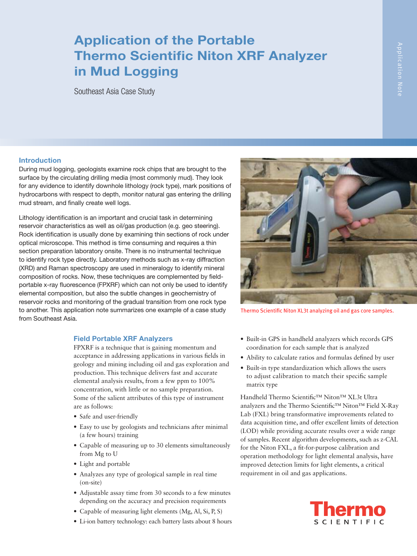## Application of the Portable Thermo Scientific Niton XRF Analyzer in Mud Logging

Southeast Asia Case Study

# Application Note

#### Introduction

During mud logging, geologists examine rock chips that are brought to the surface by the circulating drilling media (most commonly mud). They look for any evidence to identify downhole lithology (rock type), mark positions of hydrocarbons with respect to depth, monitor natural gas entering the drilling mud stream, and finally create well logs.

Lithology identification is an important and crucial task in determining reservoir characteristics as well as oil/gas production (e.g. geo steering). Rock identification is usually done by examining thin sections of rock under optical microscope. This method is time consuming and requires a thin section preparation laboratory onsite. There is no instrumental technique to identify rock type directly. Laboratory methods such as x-ray diffraction (XRD) and Raman spectroscopy are used in mineralogy to identify mineral composition of rocks. Now, these techniques are complemented by fieldportable x-ray fluorescence (FPXRF) which can not only be used to identify elemental composition, but also the subtle changes in geochemistry of reservoir rocks and monitoring of the gradual transition from one rock type to another. This application note summarizes one example of a case study from Southeast Asia.

#### Field Portable XRF Analyzers

FPXRF is a technique that is gaining momentum and acceptance in addressing applications in various fields in geology and mining including oil and gas exploration and production. This technique delivers fast and accurate elemental analysis results, from a few ppm to 100% concentration, with little or no sample preparation. Some of the salient attributes of this type of instrument are as follows:

- Safe and user-friendly
- • Easy to use by geologists and technicians after minimal (a few hours) training
- Capable of measuring up to 30 elements simultaneously from Mg to U
- • Light and portable
- • Analyzes any type of geological sample in real time (on-site)
- Adjustable assay time from 30 seconds to a few minutes depending on the accuracy and precision requirements
- Capable of measuring light elements (Mg, Al, Si, P, S)
- • Li-ion battery technology: each battery lasts about 8 hours



Thermo Scientific Niton XL3t analyzing oil and gas core samples.

- • Built-in GPS in handheld analyzers which records GPS coordination for each sample that is analyzed
- Ability to calculate ratios and formulas defined by user
- • Built-in type standardization which allows the users to adjust calibration to match their specific sample matrix type

Handheld Thermo Scientific™ Niton™ XL3t Ultra analyzers and the Thermo Scientific™ Niton™ Field X-Ray Lab (FXL) bring transformative improvements related to data acquisition time, and offer excellent limits of detection (LOD) while providing accurate results over a wide range of samples. Recent algorithm developments, such as z-CAL for the Niton FXL, a fit-for-purpose calibration and operation methodology for light elemental analysis, have improved detection limits for light elements, a critical requirement in oil and gas applications.